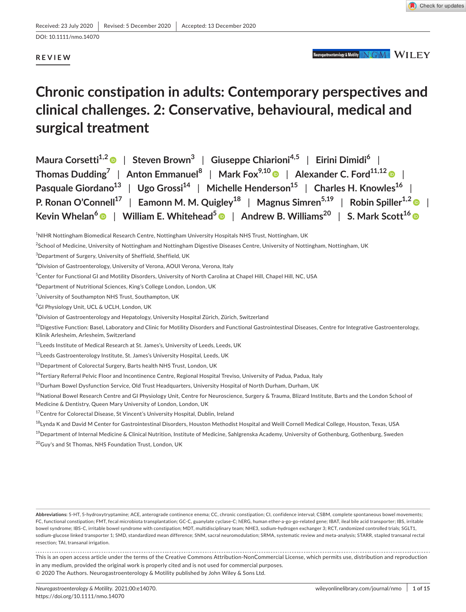DOI: 10.1111/nmo.14070

# **REVIEW**

Neurogastroenterology & Motility NGM WILEY

# **Chronic constipation in adults: Contemporary perspectives and clinical challenges. 2: Conservative, behavioural, medical and surgical treatment**

| Maura Corsetti <sup>1,2</sup>   Steven Brown <sup>3</sup>   Giuseppe Chiarioni <sup>4,5</sup>   Eirini Dimidi <sup>6</sup>                                   |
|--------------------------------------------------------------------------------------------------------------------------------------------------------------|
| Thomas Dudding <sup>7</sup>   Anton Emmanuel <sup>8</sup>   Mark Fox <sup>9,10</sup>   Alexander C. Ford <sup>11,12</sup>                                    |
| Pasquale Giordano <sup>13</sup>   Ugo Grossi <sup>14</sup>   Michelle Henderson <sup>15</sup>   Charles H. Knowles <sup>16</sup>                             |
| P. Ronan O'Connell <sup>17</sup>   Eamonn M. M. Quigley <sup>18</sup>   Magnus Simren <sup>5,19</sup>   Robin Spiller <sup>1,2</sup>                         |
| Kevin Whelan <sup>6</sup> $\bullet$   William E. Whitehead <sup>5</sup> $\bullet$   Andrew B. Williams <sup>20</sup>   S. Mark Scott <sup>16</sup> $\bullet$ |

<sup>1</sup> NIHR Nottingham Biomedical Research Centre, Nottingham University Hospitals NHS Trust, Nottingham, UK

<sup>2</sup>School of Medicine, University of Nottingham and Nottingham Digestive Diseases Centre, University of Nottingham, Nottingham, UK

<sup>15</sup>Durham Bowel Dysfunction Service, Old Trust Headquarters, University Hospital of North Durham, Durham, UK

<sup>16</sup>National Bowel Research Centre and GI Physiology Unit, Centre for Neuroscience, Surgery & Trauma, Blizard Institute, Barts and the London School of Medicine & Dentistry, Queen Mary University of London, London, UK

<sup>17</sup>Centre for Colorectal Disease, St Vincent's University Hospital, Dublin, Ireland

<sup>18</sup>Lynda K and David M Center for Gastrointestinal Disorders, Houston Methodist Hospital and Weill Cornell Medical College, Houston, Texas, USA

<sup>19</sup>Department of Internal Medicine & Clinical Nutrition, Institute of Medicine, Sahlgrenska Academy, University of Gothenburg, Gothenburg, Sweden

<sup>20</sup>Guy's and St Thomas, NHS Foundation Trust, London, UK

**Abbreviations:** 5-HT, 5-hydroxytryptamine; ACE, anterograde continence enema; CC, chronic constipation; CI, confidence interval; CSBM, complete spontaneous bowel movements; FC, functional constipation; FMT, fecal microbiota transplantation; GC-C, guanylate cyclase-C; hERG, human ether-a-go-go-related gene; IBAT, ileal bile acid transporter; IBS, irritable bowel syndrome; IBS-C, irritable bowel syndrome with constipation; MDT, multidisciplinary team; NHE3, sodium-hydrogen exchanger 3; RCT, randomized controlled trials; SGLT1, sodium-glucose linked transporter 1; SMD, standardized mean difference; SNM, sacral neuromodulation; SRMA, systematic review and meta-analysis; STARR, stapled transanal rectal resection; TAI, transanal irrigation.

This is an open access article under the terms of the Creative Commons [Attribution-NonCommercial](http://creativecommons.org/licenses/by-nc/4.0/) License, which permits use, distribution and reproduction in any medium, provided the original work is properly cited and is not used for commercial purposes. © 2020 The Authors. Neurogastroenterology & Motility published by John Wiley & Sons Ltd.

 ${}^{3}$ Department of Surgery, University of Sheffield, Sheffield, UK

<sup>4</sup> Division of Gastroenterology, University of Verona, AOUI Verona, Verona, Italy

<sup>&</sup>lt;sup>5</sup>Center for Functional GI and Motility Disorders, University of North Carolina at Chapel Hill, Chapel Hill, NC, USA

<sup>6</sup> Department of Nutritional Sciences, King's College London, London, UK

<sup>&</sup>lt;sup>7</sup>University of Southampton NHS Trust, Southampton, UK

<sup>8</sup> GI Physiology Unit, UCL & UCLH, London, UK

 $^9$ Division of Gastroenterology and Hepatology, University Hospital Zürich, Zürich, Switzerland

 $^{10}$ Digestive Function: Basel, Laboratory and Clinic for Motility Disorders and Functional Gastrointestinal Diseases, Centre for Integrative Gastroenterology, Klinik Arlesheim, Arlesheim, Switzerland

<sup>11</sup>Leeds Institute of Medical Research at St. James's, University of Leeds, Leeds, UK

<sup>12</sup>Leeds Gastroenterology Institute, St. James's University Hospital, Leeds, UK

<sup>13</sup> Department of Colorectal Surgery, Barts health NHS Trust, London, UK

<sup>&</sup>lt;sup>14</sup>Tertiary Referral Pelvic Floor and Incontinence Centre, Regional Hospital Treviso, University of Padua, Padua, Italy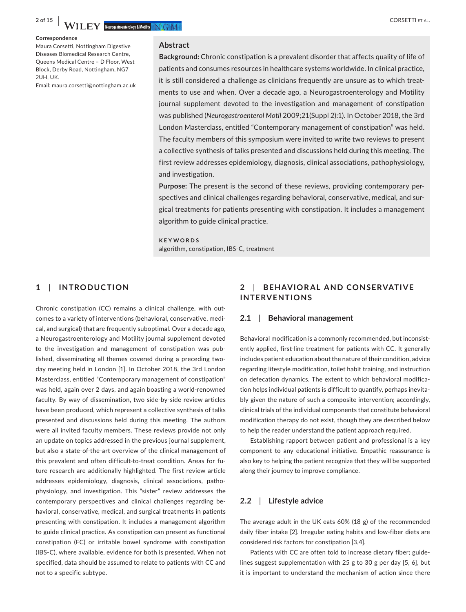**Correspondence**

Maura Corsetti, Nottingham Digestive Diseases Biomedical Research Centre, Queens Medical Centre – D Floor, West Block, Derby Road, Nottingham, NG7 2UH, UK.

#### Email: [maura.corsetti@nottingham.ac.uk](mailto:maura.corsetti@nottingham.ac.uk)

#### **Abstract**

**Background:** Chronic constipation is a prevalent disorder that affects quality of life of patients and consumes resources in healthcare systems worldwide. In clinical practice, it is still considered a challenge as clinicians frequently are unsure as to which treatments to use and when. Over a decade ago, a Neurogastroenterology and Motility journal supplement devoted to the investigation and management of constipation was published (*Neurogastroenterol Motil* 2009;21(Suppl 2):1). In October 2018, the 3rd London Masterclass, entitled "Contemporary management of constipation" was held. The faculty members of this symposium were invited to write two reviews to present a collective synthesis of talks presented and discussions held during this meeting. The first review addresses epidemiology, diagnosis, clinical associations, pathophysiology, and investigation.

**Purpose:** The present is the second of these reviews, providing contemporary perspectives and clinical challenges regarding behavioral, conservative, medical, and surgical treatments for patients presenting with constipation. It includes a management algorithm to guide clinical practice.

**KEYWORDS** algorithm, constipation, IBS-C, treatment

#### **1**  | **INTRODUCTION**

Chronic constipation (CC) remains a clinical challenge, with outcomes to a variety of interventions (behavioral, conservative, medical, and surgical) that are frequently suboptimal. Over a decade ago, a Neurogastroenterology and Motility journal supplement devoted to the investigation and management of constipation was published, disseminating all themes covered during a preceding twoday meeting held in London [1]. In October 2018, the 3rd London Masterclass, entitled "Contemporary management of constipation" was held, again over 2 days, and again boasting a world-renowned faculty. By way of dissemination, two side-by-side review articles have been produced, which represent a collective synthesis of talks presented and discussions held during this meeting. The authors were all invited faculty members. These reviews provide not only an update on topics addressed in the previous journal supplement, but also a state-of-the-art overview of the clinical management of this prevalent and often difficult-to-treat condition. Areas for future research are additionally highlighted. The first review article addresses epidemiology, diagnosis, clinical associations, pathophysiology, and investigation. This "sister" review addresses the contemporary perspectives and clinical challenges regarding behavioral, conservative, medical, and surgical treatments in patients presenting with constipation. It includes a management algorithm to guide clinical practice. As constipation can present as functional constipation (FC) or irritable bowel syndrome with constipation (IBS-C), where available, evidence for both is presented. When not specified, data should be assumed to relate to patients with CC and not to a specific subtype.

# **2**  | **BEHAVIOR AL AND CONSERVATIVE INTERVENTIONS**

#### **2.1**  | **Behavioral management**

Behavioral modification is a commonly recommended, but inconsistently applied, first-line treatment for patients with CC. It generally includes patient education about the nature of their condition, advice regarding lifestyle modification, toilet habit training, and instruction on defecation dynamics. The extent to which behavioral modification helps individual patients is difficult to quantify, perhaps inevitably given the nature of such a composite intervention; accordingly, clinical trials of the individual components that constitute behavioral modification therapy do not exist, though they are described below to help the reader understand the patient approach required.

Establishing rapport between patient and professional is a key component to any educational initiative. Empathic reassurance is also key to helping the patient recognize that they will be supported along their journey to improve compliance.

## **2.2**  | **Lifestyle advice**

The average adult in the UK eats 60% (18 g) of the recommended daily fiber intake [2]. Irregular eating habits and low-fiber diets are considered risk factors for constipation [3,4].

Patients with CC are often told to increase dietary fiber; guidelines suggest supplementation with 25 g to 30 g per day [5, 6], but it is important to understand the mechanism of action since there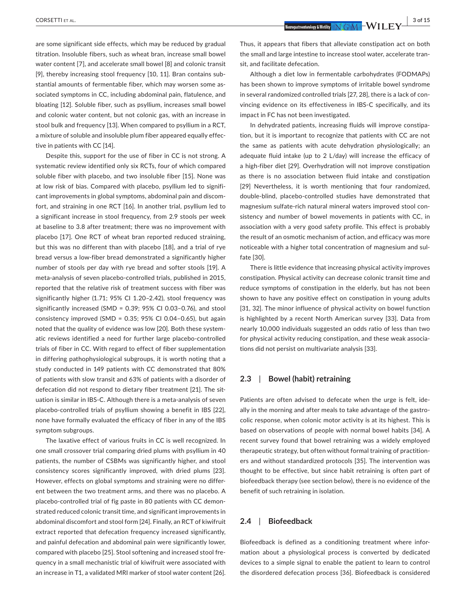are some significant side effects, which may be reduced by gradual titration. Insoluble fibers, such as wheat bran, increase small bowel water content [7], and accelerate small bowel [8] and colonic transit [9], thereby increasing stool frequency [10, 11]. Bran contains substantial amounts of fermentable fiber, which may worsen some associated symptoms in CC, including abdominal pain, flatulence, and bloating [12]. Soluble fiber, such as psyllium, increases small bowel and colonic water content, but not colonic gas, with an increase in stool bulk and frequency [13]. When compared to psyllium in a RCT, a mixture of soluble and insoluble plum fiber appeared equally effective in patients with CC [14].

Despite this, support for the use of fiber in CC is not strong. A systematic review identified only six RCTs, four of which compared soluble fiber with placebo, and two insoluble fiber [15]. None was at low risk of bias. Compared with placebo, psyllium led to significant improvements in global symptoms, abdominal pain and discomfort, and straining in one RCT [16]. In another trial, psyllium led to a significant increase in stool frequency, from 2.9 stools per week at baseline to 3.8 after treatment; there was no improvement with placebo [17]. One RCT of wheat bran reported reduced straining, but this was no different than with placebo [18], and a trial of rye bread versus a low-fiber bread demonstrated a significantly higher number of stools per day with rye bread and softer stools [19]. A meta-analysis of seven placebo-controlled trials, published in 2015, reported that the relative risk of treatment success with fiber was significantly higher (1.71; 95% CI 1.20–2.42), stool frequency was significantly increased (SMD = 0.39; 95% CI 0.03–0.76), and stool consistency improved (SMD =  $0.35$ ; 95% CI 0.04-0.65), but again noted that the quality of evidence was low [20]. Both these systematic reviews identified a need for further large placebo-controlled trials of fiber in CC. With regard to effect of fiber supplementation in differing pathophysiological subgroups, it is worth noting that a study conducted in 149 patients with CC demonstrated that 80% of patients with slow transit and 63% of patients with a disorder of defecation did not respond to dietary fiber treatment [21]. The situation is similar in IBS-C. Although there is a meta-analysis of seven placebo-controlled trials of psyllium showing a benefit in IBS [22], none have formally evaluated the efficacy of fiber in any of the IBS symptom subgroups.

The laxative effect of various fruits in CC is well recognized. In one small crossover trial comparing dried plums with psyllium in 40 patients, the number of CSBMs was significantly higher, and stool consistency scores significantly improved, with dried plums [23]. However, effects on global symptoms and straining were no different between the two treatment arms, and there was no placebo. A placebo-controlled trial of fig paste in 80 patients with CC demonstrated reduced colonic transit time, and significant improvements in abdominal discomfort and stool form [24]. Finally, an RCT of kiwifruit extract reported that defecation frequency increased significantly, and painful defecation and abdominal pain were significantly lower, compared with placebo [25]. Stool softening and increased stool frequency in a small mechanistic trial of kiwifruit were associated with an increase in T1, a validated MRI marker of stool water content [26].

Thus, it appears that fibers that alleviate constipation act on both the small and large intestine to increase stool water, accelerate transit, and facilitate defecation.

Although a diet low in fermentable carbohydrates (FODMAPs) has been shown to improve symptoms of irritable bowel syndrome in several randomized controlled trials [27, 28], there is a lack of convincing evidence on its effectiveness in IBS-C specifically, and its impact in FC has not been investigated.

In dehydrated patients, increasing fluids will improve constipation, but it is important to recognize that patients with CC are not the same as patients with acute dehydration physiologically; an adequate fluid intake (up to 2 L/day) will increase the efficacy of a high-fiber diet [29]. Overhydration will not improve constipation as there is no association between fluid intake and constipation [29] Nevertheless, it is worth mentioning that four randomized, double-blind, placebo-controlled studies have demonstrated that magnesium sulfate-rich natural mineral waters improved stool consistency and number of bowel movements in patients with CC, in association with a very good safety profile. This effect is probably the result of an osmotic mechanism of action, and efficacy was more noticeable with a higher total concentration of magnesium and sulfate [30].

There is little evidence that increasing physical activity improves constipation. Physical activity can decrease colonic transit time and reduce symptoms of constipation in the elderly, but has not been shown to have any positive effect on constipation in young adults [31, 32]. The minor influence of physical activity on bowel function is highlighted by a recent North American survey [33]. Data from nearly 10,000 individuals suggested an odds ratio of less than two for physical activity reducing constipation, and these weak associations did not persist on multivariate analysis [33].

# **2.3**  | **Bowel (habit) retraining**

Patients are often advised to defecate when the urge is felt, ideally in the morning and after meals to take advantage of the gastrocolic response, when colonic motor activity is at its highest. This is based on observations of people with normal bowel habits [34]. A recent survey found that bowel retraining was a widely employed therapeutic strategy, but often without formal training of practitioners and without standardized protocols [35]. The intervention was thought to be effective, but since habit retraining is often part of biofeedback therapy (see section below), there is no evidence of the benefit of such retraining in isolation.

# **2.4**  | **Biofeedback**

Biofeedback is defined as a conditioning treatment where information about a physiological process is converted by dedicated devices to a simple signal to enable the patient to learn to control the disordered defecation process [36]. Biofeedback is considered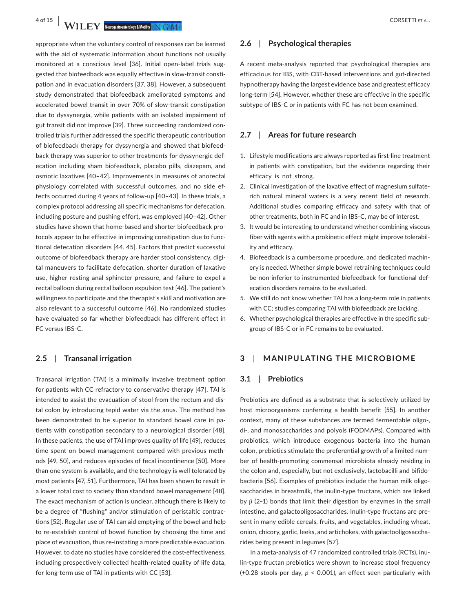**4 of 15 <sup>|</sup>**  CORSETTI et al.

appropriate when the voluntary control of responses can be learned with the aid of systematic information about functions not usually monitored at a conscious level [36]. Initial open-label trials suggested that biofeedback was equally effective in slow-transit constipation and in evacuation disorders [37, 38]. However, a subsequent study demonstrated that biofeedback ameliorated symptoms and accelerated bowel transit in over 70% of slow-transit constipation due to dyssynergia, while patients with an isolated impairment of gut transit did not improve [39]. Three succeeding randomized controlled trials further addressed the specific therapeutic contribution of biofeedback therapy for dyssynergia and showed that biofeedback therapy was superior to other treatments for dyssynergic defecation including sham biofeedback, placebo pills, diazepam, and osmotic laxatives [40–42]. Improvements in measures of anorectal physiology correlated with successful outcomes, and no side effects occurred during 4 years of follow-up [40–43]. In these trials, a complex protocol addressing all specific mechanisms for defecation, including posture and pushing effort, was employed [40–42]. Other studies have shown that home-based and shorter biofeedback protocols appear to be effective in improving constipation due to functional defecation disorders [44, 45]. Factors that predict successful outcome of biofeedback therapy are harder stool consistency, digital maneuvers to facilitate defecation, shorter duration of laxative use, higher resting anal sphincter pressure, and failure to expel a rectal balloon during rectal balloon expulsion test [46]. The patient's willingness to participate and the therapist's skill and motivation are also relevant to a successful outcome [46]. No randomized studies have evaluated so far whether biofeedback has different effect in FC versus IBS-C.

### **2.5**  | **Transanal irrigation**

Transanal irrigation (TAI) is a minimally invasive treatment option for patients with CC refractory to conservative therapy [47]. TAI is intended to assist the evacuation of stool from the rectum and distal colon by introducing tepid water via the anus. The method has been demonstrated to be superior to standard bowel care in patients with constipation secondary to a neurological disorder [48]. In these patients, the use of TAI improves quality of life [49], reduces time spent on bowel management compared with previous methods [49, 50], and reduces episodes of fecal incontinence [50]. More than one system is available, and the technology is well tolerated by most patients [47, 51]. Furthermore, TAI has been shown to result in a lower total cost to society than standard bowel management [48]. The exact mechanism of action is unclear, although there is likely to be a degree of "flushing" and/or stimulation of peristaltic contractions [52]. Regular use of TAI can aid emptying of the bowel and help to re-establish control of bowel function by choosing the time and place of evacuation, thus re-instating a more predictable evacuation. However, to date no studies have considered the cost-effectiveness, including prospectively collected health-related quality of life data, for long-term use of TAI in patients with CC [53].

# **2.6**  | **Psychological therapies**

A recent meta-analysis reported that psychological therapies are efficacious for IBS, with CBT-based interventions and gut-directed hypnotherapy having the largest evidence base and greatest efficacy long-term [54]. However, whether these are effective in the specific subtype of IBS-C or in patients with FC has not been examined.

#### **2.7**  | **Areas for future research**

- 1. Lifestyle modifications are always reported as first-line treatment in patients with constipation, but the evidence regarding their efficacy is not strong.
- 2. Clinical investigation of the laxative effect of magnesium sulfaterich natural mineral waters is a very recent field of research. Additional studies comparing efficacy and safety with that of other treatments, both in FC and in IBS-C, may be of interest.
- 3. It would be interesting to understand whether combining viscous fiber with agents with a prokinetic effect might improve tolerability and efficacy.
- 4. Biofeedback is a cumbersome procedure, and dedicated machinery is needed. Whether simple bowel retraining techniques could be non-inferior to instrumented biofeedback for functional defecation disorders remains to be evaluated.
- 5. We still do not know whether TAI has a long-term role in patients with CC; studies comparing TAI with biofeedback are lacking.
- 6. Whether psychological therapies are effective in the specific subgroup of IBS-C or in FC remains to be evaluated.

# **3**  | **MANIPULATING THE MICROBIOME**

#### **3.1**  | **Prebiotics**

Prebiotics are defined as a substrate that is selectively utilized by host microorganisms conferring a health benefit [55]. In another context, many of these substances are termed fermentable oligo-, di-, and monosaccharides and polyols (FODMAPs). Compared with probiotics, which introduce exogenous bacteria into the human colon, prebiotics stimulate the preferential growth of a limited number of health-promoting commensal microbiota already residing in the colon and, especially, but not exclusively, lactobacilli and bifidobacteria [56]. Examples of prebiotics include the human milk oligosaccharides in breastmilk, the inulin-type fructans, which are linked by  $β$  (2-1) bonds that limit their digestion by enzymes in the small intestine, and galactooligosaccharides. Inulin-type fructans are present in many edible cereals, fruits, and vegetables, including wheat, onion, chicory, garlic, leeks, and artichokes, with galactooligosaccharides being present in legumes [57].

In a meta-analysis of 47 randomized controlled trials (RCTs), inulin-type fructan prebiotics were shown to increase stool frequency (+0.28 stools per day, *p* < 0.001), an effect seen particularly with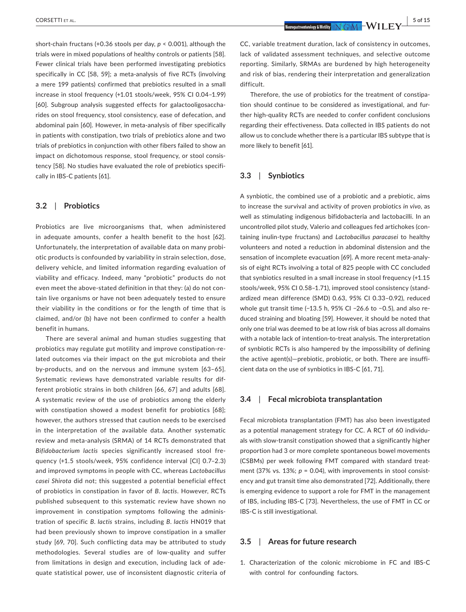short-chain fructans (+0.36 stools per day, *p* < 0.001), although the trials were in mixed populations of healthy controls or patients [58]. Fewer clinical trials have been performed investigating prebiotics specifically in CC [58, 59]; a meta-analysis of five RCTs (involving a mere 199 patients) confirmed that prebiotics resulted in a small increase in stool frequency (+1.01 stools/week, 95% CI 0.04–1.99) [60]. Subgroup analysis suggested effects for galactooligosaccharides on stool frequency, stool consistency, ease of defecation, and abdominal pain [60]. However, in meta-analysis of fiber specifically in patients with constipation, two trials of prebiotics alone and two trials of prebiotics in conjunction with other fibers failed to show an impact on dichotomous response, stool frequency, or stool consistency [58]. No studies have evaluated the role of prebiotics specifically in IBS-C patients [61].

#### **3.2**  | **Probiotics**

Probiotics are live microorganisms that, when administered in adequate amounts, confer a health benefit to the host [62]. Unfortunately, the interpretation of available data on many probiotic products is confounded by variability in strain selection, dose, delivery vehicle, and limited information regarding evaluation of viability and efficacy. Indeed, many "probiotic" products do not even meet the above-stated definition in that they: (a) do not contain live organisms or have not been adequately tested to ensure their viability in the conditions or for the length of time that is claimed, and/or (b) have not been confirmed to confer a health benefit in humans.

There are several animal and human studies suggesting that probiotics may regulate gut motility and improve constipation-related outcomes via their impact on the gut microbiota and their by-products, and on the nervous and immune system [63–65]. Systematic reviews have demonstrated variable results for different probiotic strains in both children [66, 67] and adults [68]. A systematic review of the use of probiotics among the elderly with constipation showed a modest benefit for probiotics [68]; however, the authors stressed that caution needs to be exercised in the interpretation of the available data. Another systematic review and meta-analysis (SRMA) of 14 RCTs demonstrated that *Bifidobacterium lactis* species significantly increased stool frequency (+1.5 stools/week, 95% confidence interval [CI] 0.7–2.3) and improved symptoms in people with CC, whereas *Lactobacillus casei Shirota* did not; this suggested a potential beneficial effect of probiotics in constipation in favor of *B*. *lactis*. However, RCTs published subsequent to this systematic review have shown no improvement in constipation symptoms following the administration of specific *B*. *lactis* strains, including *B*. *lactis* HN019 that had been previously shown to improve constipation in a smaller study [69, 70]. Such conflicting data may be attributed to study methodologies. Several studies are of low-quality and suffer from limitations in design and execution, including lack of adequate statistical power, use of inconsistent diagnostic criteria of

Therefore, the use of probiotics for the treatment of constipation should continue to be considered as investigational, and further high-quality RCTs are needed to confer confident conclusions regarding their effectiveness. Data collected in IBS patients do not allow us to conclude whether there is a particular IBS subtype that is more likely to benefit [61].

### **3.3**  | **Synbiotics**

A synbiotic, the combined use of a probiotic and a prebiotic, aims to increase the survival and activity of proven probiotics *in vivo*, as well as stimulating indigenous bifidobacteria and lactobacilli. In an uncontrolled pilot study, Valerio and colleagues fed artichokes (containing inulin-type fructans) and *Lactobacillus paracasei* to healthy volunteers and noted a reduction in abdominal distension and the sensation of incomplete evacuation [69]. A more recent meta-analysis of eight RCTs involving a total of 825 people with CC concluded that synbiotics resulted in a small increase in stool frequency (+1.15 stools/week, 95% CI 0.58–1.71), improved stool consistency (standardized mean difference (SMD) 0.63, 95% CI 0.33–0.92), reduced whole gut transit time (-13.5 h, 95% CI -26.6 to -0.5), and also reduced straining and bloating [59]. However, it should be noted that only one trial was deemed to be at low risk of bias across all domains with a notable lack of intention-to-treat analysis. The interpretation of synbiotic RCTs is also hampered by the impossibility of defining the active agent(s)—prebiotic, probiotic, or both. There are insufficient data on the use of synbiotics in IBS-C [61, 71].

#### **3.4**  | **Fecal microbiota transplantation**

Fecal microbiota transplantation (FMT) has also been investigated as a potential management strategy for CC. A RCT of 60 individuals with slow-transit constipation showed that a significantly higher proportion had 3 or more complete spontaneous bowel movements (CSBMs) per week following FMT compared with standard treatment (37% vs. 13%;  $p = 0.04$ ), with improvements in stool consistency and gut transit time also demonstrated [72]. Additionally, there is emerging evidence to support a role for FMT in the management of IBS, including IBS-C [73]. Nevertheless, the use of FMT in CC or IBS-C is still investigational.

#### **3.5**  | **Areas for future research**

1. Characterization of the colonic microbiome in FC and IBS-C with control for confounding factors.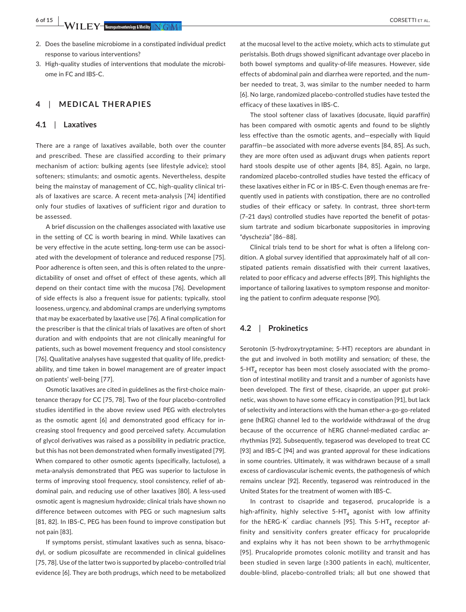**6 of 15 WILEY WE REPORT CORSETTI ET AL.** 

- 2. Does the baseline microbiome in a constipated individual predict response to various interventions?
- 3. High-quality studies of interventions that modulate the microbiome in FC and IBS-C.

# **4**  | **MEDICAL THERAPIES**

#### **4.1**  | **Laxatives**

There are a range of laxatives available, both over the counter and prescribed. These are classified according to their primary mechanism of action: bulking agents (see lifestyle advice); stool softeners; stimulants; and osmotic agents. Nevertheless, despite being the mainstay of management of CC, high-quality clinical trials of laxatives are scarce. A recent meta-analysis [74] identified only four studies of laxatives of sufficient rigor and duration to be assessed.

A brief discussion on the challenges associated with laxative use in the setting of CC is worth bearing in mind. While laxatives can be very effective in the acute setting, long-term use can be associated with the development of tolerance and reduced response [75]. Poor adherence is often seen, and this is often related to the unpredictability of onset and offset of effect of these agents, which all depend on their contact time with the mucosa [76]. Development of side effects is also a frequent issue for patients; typically, stool looseness, urgency, and abdominal cramps are underlying symptoms that may be exacerbated by laxative use [76]. A final complication for the prescriber is that the clinical trials of laxatives are often of short duration and with endpoints that are not clinically meaningful for patients, such as bowel movement frequency and stool consistency [76]. Qualitative analyses have suggested that quality of life, predictability, and time taken in bowel management are of greater impact on patients' well-being [77].

Osmotic laxatives are cited in guidelines as the first-choice maintenance therapy for CC [75, 78]. Two of the four placebo-controlled studies identified in the above review used PEG with electrolytes as the osmotic agent [6] and demonstrated good efficacy for increasing stool frequency and good perceived safety. Accumulation of glycol derivatives was raised as a possibility in pediatric practice, but this has not been demonstrated when formally investigated [79]. When compared to other osmotic agents (specifically, lactulose), a meta-analysis demonstrated that PEG was superior to lactulose in terms of improving stool frequency, stool consistency, relief of abdominal pain, and reducing use of other laxatives [80]. A less-used osmotic agent is magnesium hydroxide; clinical trials have shown no difference between outcomes with PEG or such magnesium salts [81, 82]. In IBS-C, PEG has been found to improve constipation but not pain [83].

If symptoms persist, stimulant laxatives such as senna, bisacodyl, or sodium picosulfate are recommended in clinical guidelines [75, 78]. Use of the latter two is supported by placebo-controlled trial evidence [6]. They are both prodrugs, which need to be metabolized

at the mucosal level to the active moiety, which acts to stimulate gut peristalsis. Both drugs showed significant advantage over placebo in both bowel symptoms and quality-of-life measures. However, side effects of abdominal pain and diarrhea were reported, and the number needed to treat, 3, was similar to the number needed to harm [6]. No large, randomized placebo-controlled studies have tested the efficacy of these laxatives in IBS-C.

The stool softener class of laxatives (docusate, liquid paraffin) has been compared with osmotic agents and found to be slightly less effective than the osmotic agents, and—especially with liquid paraffin—be associated with more adverse events [84, 85]. As such, they are more often used as adjuvant drugs when patients report hard stools despite use of other agents [84, 85]. Again, no large, randomized placebo-controlled studies have tested the efficacy of these laxatives either in FC or in IBS-C. Even though enemas are frequently used in patients with constipation, there are no controlled studies of their efficacy or safety. In contrast, three short-term (7–21 days) controlled studies have reported the benefit of potassium tartrate and sodium bicarbonate suppositories in improving "dyschezia" [86–88].

Clinical trials tend to be short for what is often a lifelong condition. A global survey identified that approximately half of all constipated patients remain dissatisfied with their current laxatives, related to poor efficacy and adverse effects [89]. This highlights the importance of tailoring laxatives to symptom response and monitoring the patient to confirm adequate response [90].

#### **4.2**  | **Prokinetics**

Serotonin (5-hydroxytryptamine; 5-HT) receptors are abundant in the gut and involved in both motility and sensation; of these, the  $5-HT<sub>4</sub>$  receptor has been most closely associated with the promotion of intestinal motility and transit and a number of agonists have been developed. The first of these, cisapride, an upper gut prokinetic, was shown to have some efficacy in constipation [91], but lack of selectivity and interactions with the human ether-a-go-go-related gene (hERG) channel led to the worldwide withdrawal of the drug because of the occurrence of hERG channel-mediated cardiac arrhythmias [92]. Subsequently, tegaserod was developed to treat CC [93] and IBS-C [94] and was granted approval for these indications in some countries. Ultimately, it was withdrawn because of a small excess of cardiovascular ischemic events, the pathogenesis of which remains unclear [92]. Recently, tegaserod was reintroduced in the United States for the treatment of women with IBS-C.

In contrast to cisapride and tegaserod, prucalopride is a high-affinity, highly selective  $5-HT<sub>4</sub>$  agonist with low affinity for the hERG-K<sup> $\dot{ }$ </sup> cardiac channels [95]. This 5-HT<sub>4</sub> receptor affinity and sensitivity confers greater efficacy for prucalopride and explains why it has not been shown to be arrhythmogenic [95]. Prucalopride promotes colonic motility and transit and has been studied in seven large (≥300 patients in each), multicenter, double-blind, placebo-controlled trials; all but one showed that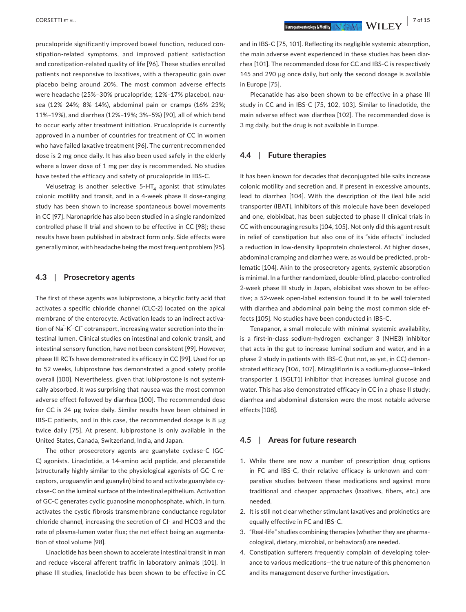prucalopride significantly improved bowel function, reduced constipation-related symptoms, and improved patient satisfaction and constipation-related quality of life [96]. These studies enrolled patients not responsive to laxatives, with a therapeutic gain over placebo being around 20%. The most common adverse effects were headache (25%–30% prucalopride; 12%–17% placebo), nausea (12%–24%; 8%–14%), abdominal pain or cramps (16%–23%; 11%–19%), and diarrhea (12%–19%; 3%–5%) [90], all of which tend to occur early after treatment initiation. Prucalopride is currently approved in a number of countries for treatment of CC in women who have failed laxative treatment [96]. The current recommended dose is 2 mg once daily. It has also been used safely in the elderly where a lower dose of 1 mg per day is recommended. No studies have tested the efficacy and safety of prucalopride in IBS-C.

Velusetrag is another selective  $5-HT<sub>4</sub>$  agonist that stimulates colonic motility and transit, and in a 4-week phase II dose-ranging study has been shown to increase spontaneous bowel movements in CC [97]. Naronapride has also been studied in a single randomized controlled phase II trial and shown to be effective in CC [98]; these results have been published in abstract form only. Side effects were generally minor, with headache being the most frequent problem [95].

#### **4.3**  | **Prosecretory agents**

The first of these agents was lubiprostone, a bicyclic fatty acid that activates a specific chloride channel (CLC-2) located on the apical membrane of the enterocyte. Activation leads to an indirect activation of Na⁺ -K<sup>⁺</sup> -Cl− cotransport, increasing water secretion into the intestinal lumen. Clinical studies on intestinal and colonic transit, and intestinal sensory function, have not been consistent [99]. However, phase III RCTs have demonstrated its efficacy in CC [99]. Used for up to 52 weeks, lubiprostone has demonstrated a good safety profile overall [100]. Nevertheless, given that lubiprostone is not systemically absorbed, it was surprising that nausea was the most common adverse effect followed by diarrhea [100]. The recommended dose for CC is 24 µg twice daily. Similar results have been obtained in IBS-C patients, and in this case, the recommended dosage is 8 µg twice daily [75]. At present, lubiprostone is only available in the United States, Canada, Switzerland, India, and Japan.

The other prosecretory agents are guanylate cyclase-C (GC-C) agonists. Linaclotide, a 14-amino acid peptide, and plecanatide (structurally highly similar to the physiological agonists of GC-C receptors, uroguanylin and guanylin) bind to and activate guanylate cyclase-C on the luminal surface of the intestinal epithelium. Activation of GC-C generates cyclic guanosine monophosphate, which, in turn, activates the cystic fibrosis transmembrane conductance regulator chloride channel, increasing the secretion of Cl- and HCO3 and the rate of plasma-lumen water flux; the net effect being an augmentation of stool volume [98].

Linaclotide has been shown to accelerate intestinal transit in man and reduce visceral afferent traffic in laboratory animals [101]. In phase III studies, linaclotide has been shown to be effective in CC

 CORSETTI et al. **<sup>|</sup> 7 of 15**

and in IBS-C [75, 101]. Reflecting its negligible systemic absorption, the main adverse event experienced in these studies has been diarrhea [101]. The recommended dose for CC and IBS-C is respectively 145 and 290 µg once daily, but only the second dosage is available in Europe [75].

Plecanatide has also been shown to be effective in a phase III study in CC and in IBS-C [75, 102, 103]. Similar to linaclotide, the main adverse effect was diarrhea [102]. The recommended dose is 3 mg daily, but the drug is not available in Europe.

#### **4.4**  | **Future therapies**

It has been known for decades that deconjugated bile salts increase colonic motility and secretion and, if present in excessive amounts, lead to diarrhea [104]. With the description of the ileal bile acid transporter (IBAT), inhibitors of this molecule have been developed and one, elobixibat, has been subjected to phase II clinical trials in CC with encouraging results [104, 105]. Not only did this agent result in relief of constipation but also one of its "side effects" included a reduction in low-density lipoprotein cholesterol. At higher doses, abdominal cramping and diarrhea were, as would be predicted, problematic [104]. Akin to the prosecretory agents, systemic absorption is minimal. In a further randomized, double-blind, placebo-controlled 2-week phase III study in Japan, elobixibat was shown to be effective; a 52-week open-label extension found it to be well tolerated with diarrhea and abdominal pain being the most common side effects [105]. No studies have been conducted in IBS-C.

Tenapanor, a small molecule with minimal systemic availability, is a first-in-class sodium-hydrogen exchanger 3 (NHE3) inhibitor that acts in the gut to increase luminal sodium and water, and in a phase 2 study in patients with IBS-C (but not, as yet, in CC) demonstrated efficacy [106, 107]. Mizagliflozin is a sodium-glucose–linked transporter 1 (SGLT1) inhibitor that increases luminal glucose and water. This has also demonstrated efficacy in CC in a phase II study; diarrhea and abdominal distension were the most notable adverse effects [108].

#### **4.5**  | **Areas for future research**

- 1. While there are now a number of prescription drug options in FC and IBS-C, their relative efficacy is unknown and comparative studies between these medications and against more traditional and cheaper approaches (laxatives, fibers, etc.) are needed.
- 2. It is still not clear whether stimulant laxatives and prokinetics are equally effective in FC and IBS-C.
- 3. "Real-life" studies combining therapies (whether they are pharmacological, dietary, microbial, or behavioral) are needed.
- 4. Constipation sufferers frequently complain of developing tolerance to various medications—the true nature of this phenomenon and its management deserve further investigation.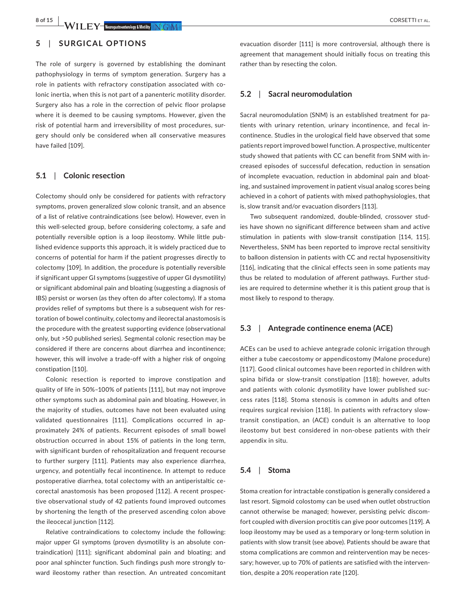**8 of 15 WILEY WE REPORT CORSETTI** ET AL.

# **5**  | **SURGICAL OPTIONS**

The role of surgery is governed by establishing the dominant pathophysiology in terms of symptom generation. Surgery has a role in patients with refractory constipation associated with colonic inertia, when this is not part of a panenteric motility disorder. Surgery also has a role in the correction of pelvic floor prolapse where it is deemed to be causing symptoms. However, given the risk of potential harm and irreversibility of most procedures, surgery should only be considered when all conservative measures have failed [109].

#### **5.1**  | **Colonic resection**

Colectomy should only be considered for patients with refractory symptoms, proven generalized slow colonic transit, and an absence of a list of relative contraindications (see below). However, even in this well-selected group, before considering colectomy, a safe and potentially reversible option is a loop ileostomy. While little published evidence supports this approach, it is widely practiced due to concerns of potential for harm if the patient progresses directly to colectomy [109]. In addition, the procedure is potentially reversible if significant upper GI symptoms (suggestive of upper GI dysmotility) or significant abdominal pain and bloating (suggesting a diagnosis of IBS) persist or worsen (as they often do after colectomy). If a stoma provides relief of symptoms but there is a subsequent wish for restoration of bowel continuity, colectomy and ileorectal anastomosis is the procedure with the greatest supporting evidence (observational only, but >50 published series). Segmental colonic resection may be considered if there are concerns about diarrhea and incontinence; however, this will involve a trade-off with a higher risk of ongoing constipation [110].

Colonic resection is reported to improve constipation and quality of life in 50%–100% of patients [111], but may not improve other symptoms such as abdominal pain and bloating. However, in the majority of studies, outcomes have not been evaluated using validated questionnaires [111]. Complications occurred in approximately 24% of patients. Recurrent episodes of small bowel obstruction occurred in about 15% of patients in the long term, with significant burden of rehospitalization and frequent recourse to further surgery [111]. Patients may also experience diarrhea, urgency, and potentially fecal incontinence. In attempt to reduce postoperative diarrhea, total colectomy with an antiperistaltic cecorectal anastomosis has been proposed [112]. A recent prospective observational study of 42 patients found improved outcomes by shortening the length of the preserved ascending colon above the ileocecal junction [112].

Relative contraindications to colectomy include the following: major upper GI symptoms (proven dysmotility is an absolute contraindication) [111]; significant abdominal pain and bloating; and poor anal sphincter function. Such findings push more strongly toward ileostomy rather than resection. An untreated concomitant

evacuation disorder [111] is more controversial, although there is agreement that management should initially focus on treating this rather than by resecting the colon.

# **5.2**  | **Sacral neuromodulation**

Sacral neuromodulation (SNM) is an established treatment for patients with urinary retention, urinary incontinence, and fecal incontinence. Studies in the urological field have observed that some patients report improved bowel function. A prospective, multicenter study showed that patients with CC can benefit from SNM with increased episodes of successful defecation, reduction in sensation of incomplete evacuation, reduction in abdominal pain and bloating, and sustained improvement in patient visual analog scores being achieved in a cohort of patients with mixed pathophysiologies, that is, slow transit and/or evacuation disorders [113].

Two subsequent randomized, double-blinded, crossover studies have shown no significant difference between sham and active stimulation in patients with slow-transit constipation [114, 115]. Nevertheless, SNM has been reported to improve rectal sensitivity to balloon distension in patients with CC and rectal hyposensitivity [116], indicating that the clinical effects seen in some patients may thus be related to modulation of afferent pathways. Further studies are required to determine whether it is this patient group that is most likely to respond to therapy.

#### **5.3**  | **Antegrade continence enema (ACE)**

ACEs can be used to achieve antegrade colonic irrigation through either a tube caecostomy or appendicostomy (Malone procedure) [117]. Good clinical outcomes have been reported in children with spina bifida or slow-transit constipation [118]; however, adults and patients with colonic dysmotility have lower published success rates [118]. Stoma stenosis is common in adults and often requires surgical revision [118]. In patients with refractory slowtransit constipation, an (ACE) conduit is an alternative to loop ileostomy but best considered in non-obese patients with their appendix in situ.

#### **5.4**  | **Stoma**

Stoma creation for intractable constipation is generally considered a last resort. Sigmoid colostomy can be used when outlet obstruction cannot otherwise be managed; however, persisting pelvic discomfort coupled with diversion proctitis can give poor outcomes [119]. A loop ileostomy may be used as a temporary or long-term solution in patients with slow transit (see above). Patients should be aware that stoma complications are common and reintervention may be necessary; however, up to 70% of patients are satisfied with the intervention, despite a 20% reoperation rate [120].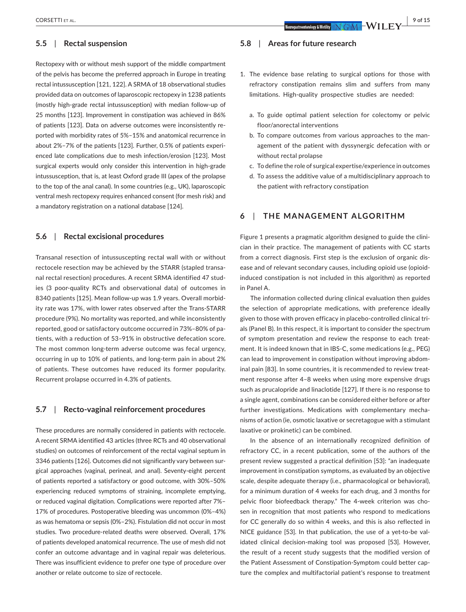#### **5.5**  | **Rectal suspension**

Rectopexy with or without mesh support of the middle compartment of the pelvis has become the preferred approach in Europe in treating rectal intussusception [121, 122]. A SRMA of 18 observational studies provided data on outcomes of laparoscopic rectopexy in 1238 patients (mostly high-grade rectal intussusception) with median follow-up of 25 months [123]. Improvement in constipation was achieved in 86% of patients [123]. Data on adverse outcomes were inconsistently reported with morbidity rates of 5%–15% and anatomical recurrence in about 2%–7% of the patients [123]. Further, 0.5% of patients experienced late complications due to mesh infection/erosion [123]. Most surgical experts would only consider this intervention in high-grade intussusception, that is, at least Oxford grade III (apex of the prolapse to the top of the anal canal). In some countries (e.g., UK), laparoscopic ventral mesh rectopexy requires enhanced consent (for mesh risk) and a mandatory registration on a national database [124].

#### **5.6**  | **Rectal excisional procedures**

Transanal resection of intussuscepting rectal wall with or without rectocele resection may be achieved by the STARR (stapled transanal rectal resection) procedures. A recent SRMA identified 47 studies (3 poor-quality RCTs and observational data) of outcomes in 8340 patients [125]. Mean follow-up was 1.9 years. Overall morbidity rate was 17%, with lower rates observed after the Trans-STARR procedure (9%). No mortality was reported, and while inconsistently reported, good or satisfactory outcome occurred in 73%–80% of patients, with a reduction of 53–91% in obstructive defecation score. The most common long-term adverse outcome was fecal urgency, occurring in up to 10% of patients, and long-term pain in about 2% of patients. These outcomes have reduced its former popularity. Recurrent prolapse occurred in 4.3% of patients.

#### **5.7**  | **Recto-vaginal reinforcement procedures**

These procedures are normally considered in patients with rectocele. A recent SRMA identified 43 articles (three RCTs and 40 observational studies) on outcomes of reinforcement of the rectal vaginal septum in 3346 patients [126]. Outcomes did not significantly vary between surgical approaches (vaginal, perineal, and anal). Seventy-eight percent of patients reported a satisfactory or good outcome, with 30%–50% experiencing reduced symptoms of straining, incomplete emptying, or reduced vaginal digitation. Complications were reported after 7%– 17% of procedures. Postoperative bleeding was uncommon (0%–4%) as was hematoma or sepsis (0%–2%). Fistulation did not occur in most studies. Two procedure-related deaths were observed. Overall, 17% of patients developed anatomical recurrence. The use of mesh did not confer an outcome advantage and in vaginal repair was deleterious. There was insufficient evidence to prefer one type of procedure over another or relate outcome to size of rectocele.

### **5.8**  | **Areas for future research**

- 1. The evidence base relating to surgical options for those with refractory constipation remains slim and suffers from many limitations. High-quality prospective studies are needed:
	- a. To guide optimal patient selection for colectomy or pelvic floor/anorectal interventions
	- b. To compare outcomes from various approaches to the management of the patient with dyssynergic defecation with or without rectal prolapse
	- c. To define the role of surgical expertise/experience in outcomes
	- d. To assess the additive value of a multidisciplinary approach to the patient with refractory constipation

# **6**  | **THE MANAGEMENT ALGORITHM**

Figure 1 presents a pragmatic algorithm designed to guide the clinician in their practice. The management of patients with CC starts from a correct diagnosis. First step is the exclusion of organic disease and of relevant secondary causes, including opioid use (opioidinduced constipation is not included in this algorithm) as reported in Panel A.

The information collected during clinical evaluation then guides the selection of appropriate medications, with preference ideally given to those with proven efficacy in placebo-controlled clinical trials (Panel B). In this respect, it is important to consider the spectrum of symptom presentation and review the response to each treatment. It is indeed known that in IBS-C, some medications (e.g., PEG) can lead to improvement in constipation without improving abdominal pain [83]. In some countries, it is recommended to review treatment response after 4–8 weeks when using more expensive drugs such as prucalopride and linaclotide [127]. If there is no response to a single agent, combinations can be considered either before or after further investigations. Medications with complementary mechanisms of action (ie, osmotic laxative or secretagogue with a stimulant laxative or prokinetic) can be combined.

In the absence of an internationally recognized definition of refractory CC, in a recent publication, some of the authors of the present review suggested a practical definition [53]: "an inadequate improvement in constipation symptoms, as evaluated by an objective scale, despite adequate therapy (i.e., pharmacological or behavioral), for a minimum duration of 4 weeks for each drug, and 3 months for pelvic floor biofeedback therapy." The 4-week criterion was chosen in recognition that most patients who respond to medications for CC generally do so within 4 weeks, and this is also reflected in NICE guidance [53]. In that publication, the use of a yet-to-be validated clinical decision-making tool was proposed [53]. However, the result of a recent study suggests that the modified version of the Patient Assessment of Constipation-Symptom could better capture the complex and multifactorial patient's response to treatment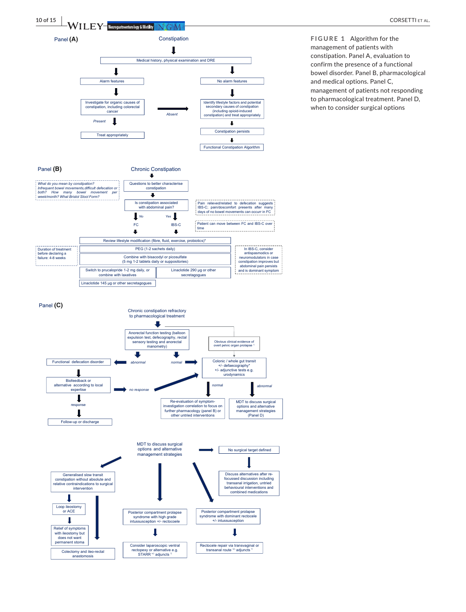

**FIGURE 1** Algorithm for the management of patients with constipation. Panel A, evaluation to confirm the presence of a functional bowel disorder. Panel B, pharmacological and medical options. Panel C, management of patients not responding to pharmacological treatment. Panel D, when to consider surgical options



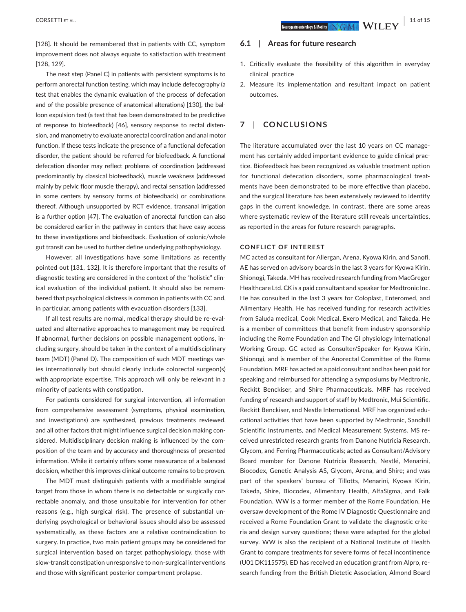[128]. It should be remembered that in patients with CC, symptom improvement does not always equate to satisfaction with treatment [128, 129].

The next step (Panel C) in patients with persistent symptoms is to perform anorectal function testing, which may include defecography (a test that enables the dynamic evaluation of the process of defecation and of the possible presence of anatomical alterations) [130], the balloon expulsion test (a test that has been demonstrated to be predictive of response to biofeedback) [46], sensory response to rectal distension, and manometry to evaluate anorectal coordination and anal motor function. If these tests indicate the presence of a functional defecation disorder, the patient should be referred for biofeedback. A functional defecation disorder may reflect problems of coordination (addressed predominantly by classical biofeedback), muscle weakness (addressed mainly by pelvic floor muscle therapy), and rectal sensation (addressed in some centers by sensory forms of biofeedback) or combinations thereof. Although unsupported by RCT evidence, transanal irrigation is a further option [47]. The evaluation of anorectal function can also be considered earlier in the pathway in centers that have easy access to these investigations and biofeedback. Evaluation of colonic/whole gut transit can be used to further define underlying pathophysiology.

However, all investigations have some limitations as recently pointed out [131, 132]. It is therefore important that the results of diagnostic testing are considered in the context of the "holistic" clinical evaluation of the individual patient. It should also be remembered that psychological distress is common in patients with CC and, in particular, among patients with evacuation disorders [133].

If all test results are normal, medical therapy should be re-evaluated and alternative approaches to management may be required. If abnormal, further decisions on possible management options, including surgery, should be taken in the context of a multidisciplinary team (MDT) (Panel D). The composition of such MDT meetings varies internationally but should clearly include colorectal surgeon(s) with appropriate expertise. This approach will only be relevant in a minority of patients with constipation.

For patients considered for surgical intervention, all information from comprehensive assessment (symptoms, physical examination, and investigations) are synthesized, previous treatments reviewed, and all other factors that might influence surgical decision making considered. Multidisciplinary decision making is influenced by the composition of the team and by accuracy and thoroughness of presented information. While it certainly offers some reassurance of a balanced decision, whether this improves clinical outcome remains to be proven.

The MDT must distinguish patients with a modifiable surgical target from those in whom there is no detectable or surgically correctable anomaly, and those unsuitable for intervention for other reasons (e.g., high surgical risk). The presence of substantial underlying psychological or behavioral issues should also be assessed systematically, as these factors are a relative contraindication to surgery. In practice, two main patient groups may be considered for surgical intervention based on target pathophysiology, those with slow-transit constipation unresponsive to non-surgical interventions and those with significant posterior compartment prolapse.

#### **6.1**  | **Areas for future research**

- 1. Critically evaluate the feasibility of this algorithm in everyday clinical practice
- 2. Measure its implementation and resultant impact on patient outcomes.

# **7**  | **CONCLUSIONS**

The literature accumulated over the last 10 years on CC management has certainly added important evidence to guide clinical practice. Biofeedback has been recognized as valuable treatment option for functional defecation disorders, some pharmacological treatments have been demonstrated to be more effective than placebo, and the surgical literature has been extensively reviewed to identify gaps in the current knowledge. In contrast, there are some areas where systematic review of the literature still reveals uncertainties, as reported in the areas for future research paragraphs.

#### **CONFLICT OF INTEREST**

MC acted as consultant for Allergan, Arena, Kyowa Kirin, and Sanofi. AE has served on advisory boards in the last 3 years for Kyowa Kirin, Shionogi, Takeda. MH has received research funding from MacGregor Healthcare Ltd. CK is a paid consultant and speaker for Medtronic Inc. He has consulted in the last 3 years for Coloplast, Enteromed, and Alimentary Health. He has received funding for research activities from Saluda medical, Cook Medical, Exero Medical, and Takeda. He is a member of committees that benefit from industry sponsorship including the Rome Foundation and The GI physiology International Working Group. GC acted as Consulter/Speaker for Kyowa Kirin, Shionogi, and is member of the Anorectal Committee of the Rome Foundation. MRF has acted as a paid consultant and has been paid for speaking and reimbursed for attending a symposiums by Medtronic, Reckitt Benckiser, and Shire Pharmaceuticals. MRF has received funding of research and support of staff by Medtronic, Mui Scientific, Reckitt Benckiser, and Nestle International. MRF has organized educational activities that have been supported by Medtronic, Sandhill Scientific Instruments, and Medical Measurement Systems. MS received unrestricted research grants from Danone Nutricia Research, Glycom, and Ferring Pharmaceuticals; acted as Consultant/Advisory Board member for Danone Nutricia Research, Nestlé, Menarini, Biocodex, Genetic Analysis AS, Glycom, Arena, and Shire; and was part of the speakers' bureau of Tillotts, Menarini, Kyowa Kirin, Takeda, Shire, Biocodex, Alimentary Health, AlfaSigma, and Falk Foundation. WW is a former member of the Rome Foundation. He oversaw development of the Rome IV Diagnostic Questionnaire and received a Rome Foundation Grant to validate the diagnostic criteria and design survey questions; these were adapted for the global survey. WW is also the recipient of a National Institute of Health Grant to compare treatments for severe forms of fecal incontinence (U01 DK115575). ED has received an education grant from Alpro, research funding from the British Dietetic Association, Almond Board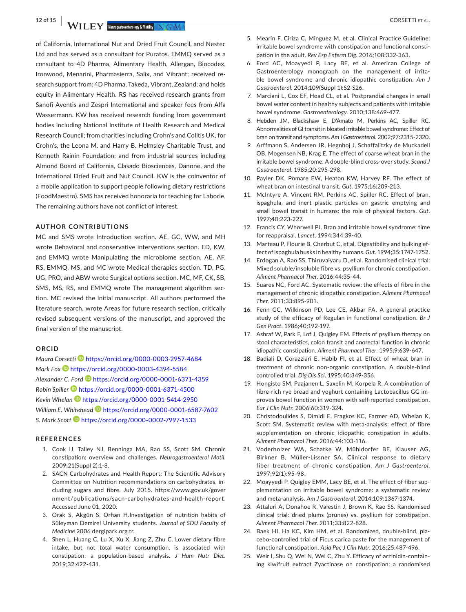of California, International Nut and Dried Fruit Council, and Nestec Ltd and has served as a consultant for Puratos. EMMQ served as a consultant to 4D Pharma, Alimentary Health, Allergan, Biocodex, Ironwood, Menarini, Pharmasierra, Salix, and Vibrant; received research support from: 4D Pharma, Takeda, Vibrant, Zealand; and holds equity in Alimentary Health. RS has received research grants from Sanofi-Aventis and Zespri International and speaker fees from Alfa Wassermann. KW has received research funding from government bodies including National Institute of Health Research and Medical Research Council; from charities including Crohn's and Colitis UK, for Crohn's, the Leona M. and Harry B. Helmsley Charitable Trust, and Kenneth Rainin Foundation; and from industrial sources including Almond Board of California, Clasado Biosciences, Danone, and the International Dried Fruit and Nut Council. KW is the coinventor of a mobile application to support people following dietary restrictions (FoodMaestro). SMS has received honoraria for teaching for Laborie. The remaining authors have not conflict of interest.

#### **AUTHOR CONTRIBUTIONS**

MC and SMS wrote Introduction section. AE, GC, WW, and MH wrote Behavioral and conservative interventions section. ED, KW, and EMMQ wrote Manipulating the microbiome section. AE, AF, RS, EMMQ, MS, and MC wrote Medical therapies section. TD, PG, UG, PRO, and ABW wrote Surgical options section. MC, MF, CK, SB, SMS, MS, RS, and EMMQ wrote The management algorithm section. MC revised the initial manuscript. All authors performed the literature search, wrote Areas for future research section, critically revised subsequent versions of the manuscript, and approved the final version of the manuscript.

#### **ORCID**

*Maura Corsetti* <https://orcid.org/0000-0003-2957-4684> *Mark Fox* **b** <https://orcid.org/0000-0003-4394-5584> *Alexander C. For[d](https://orcid.org/0000-0001-6371-4359)* <https://orcid.org/0000-0001-6371-4359> *Robin Spiller* <https://orcid.org/0000-0001-6371-4500> *Kevin Whelan* <https://orcid.org/0000-0001-5414-2950> *William E. Whitehead* **D** <https://orcid.org/0000-0001-6587-7602> *S. Mark Scot[t](https://orcid.org/0000-0002-7997-1533)* <https://orcid.org/0000-0002-7997-1533>

#### **REFERENCES**

- 1. Cook IJ, Talley NJ, Benninga MA, Rao SS, Scott SM. Chronic constipation: overview and challenges. *Neurogastroenterol Motil*. 2009;21(Suppl 2):1-8.
- 2. SACN Carbohydrates and Health Report: The Scientific Advisory Committee on Nutrition recommendations on carbohydrates, including sugars and fibre. July 2015. [https://www.gov.uk/gover](https://www.gov.uk/government/publications/sacn-carbohydrates-and-health-report) [nment/publications/sacn-carbohydrates-and-health-repor t.](https://www.gov.uk/government/publications/sacn-carbohydrates-and-health-report) Accessed June 01, 2020.
- 3. Orak S, Akgün S, Orhan H.Investigation of nutrition habits of Süleyman Demirel University students. *Journal of SDU Faculty of Medicine* 2006 dergipark.org.tr.
- 4. Shen L, Huang C, Lu X, Xu X, Jiang Z, Zhu C. Lower dietary fibre intake, but not total water consumption, is associated with constipation: a population-based analysis. *J Hum Nutr Diet*. 2019;32:422-431.
- 5. Mearin F, Ciriza C, Minguez M, et al. Clinical Practice Guideline: irritable bowel syndrome with constipation and functional constipation in the adult. *Rev Esp Enferm Dig*. 2016;108:332-363.
- 6. Ford AC, Moayyedi P, Lacy BE, et al. American College of Gastroenterology monograph on the management of irritable bowel syndrome and chronic idiopathic constipation. *Am J Gastroenterol*. 2014;109(Suppl 1):S2-S26.
- 7. Marciani L, Cox EF, Hoad CL, et al. Postprandial changes in small bowel water content in healthy subjects and patients with irritable bowel syndrome. *Gastroenterology*. 2010;138:469-477.
- 8. Hebden JM, Blackshaw E, D'Amato M, Perkins AC, Spiller RC. Abnormalities of GI transit in bloated irritable bowel syndrome: Effect of bran on transit and symptoms. *Am J Gastroenterol*. 2002;97:2315-2320.
- 9. Arffmann S, Andersen JR, Hegnhoj J, Schaffalitzky de Muckadell OB, Mogensen NB, Krag E. The effect of coarse wheat bran in the irritable bowel syndrome. A double-blind cross-over study. *Scand J Gastroenterol*. 1985;20:295-298.
- 10. Payler DK, Pomare EW, Heaton KW, Harvey RF. The effect of wheat bran on intestinal transit. *Gut*. 1975;16:209-213.
- 11. McIntyre A, Vincent RM, Perkins AC, Spiller RC. Effect of bran, ispaghula, and inert plastic particles on gastric emptying and small bowel transit in humans: the role of physical factors. *Gut*. 1997;40:223-227.
- 12. Francis CY, Whorwell PJ. Bran and irritable bowel syndrome: time for reappraisal. *Lancet*. 1994;344:39-40.
- 13. Marteau P, Flourie B, Cherbut C, et al. Digestibility and bulking effect ofispaghula husks in healthy humans.*Gut*. 1994;35:1747-1752.
- 14. Erdogan A, Rao SS, Thiruvaiyaru D, et al. Randomised clinical trial: Mixed soluble/insoluble fibre vs. psyllium for chronic constipation. *Aliment Pharmacol Ther*. 2016;44:35-44.
- 15. Suares NC, Ford AC. Systematic review: the effects of fibre in the management of chronic idiopathic constipation. *Aliment Pharmacol Ther*. 2011;33:895-901.
- 16. Fenn GC, Wilkinson PD, Lee CE, Akbar FA. A general practice study of the efficacy of Regulan in functional constipation. *Br J Gen Pract*. 1986;40:192-197.
- 17. Ashraf W, Park F, Lof J, Quigley EM. Effects of psyllium therapy on stool characteristics, colon transit and anorectal function in chronic idiopathic constipation. *Aliment Pharmacol Ther*. 1995;9:639-647.
- 18. Badiali D, Corazziari E, Habib FI, et al. Effect of wheat bran in treatment of chronic non-organic constipation. A double-blind controlled trial. *Dig Dis Sci*. 1995;40:349-356.
- 19. Hongisto SM, Paajanen L, Saxelin M, Korpela R. A combination of fibre-rich rye bread and yoghurt containing Lactobacillus GG improves bowel function in women with self-reported constipation. *Eur J Clin Nutr*. 2006;60:319-324.
- 20. Christodoulides S, Dimidi E, Fragkos KC, Farmer AD, Whelan K, Scott SM. Systematic review with meta-analysis: effect of fibre supplementation on chronic idiopathic constipation in adults. *Aliment Pharmacol Ther*. 2016;44:103-116.
- 21. Voderholzer WA, Schatke W, Mühldorfer BE, Klauser AG, Birkner B, Müller-Lissner SA. Clinical response to dietary fiber treatment of chronic constipation. *Am J Gastroenterol*. 1997;92(1):95-98.
- 22. Moayyedi P, Quigley EMM, Lacy BE, et al. The effect of fiber supplementation on irritable bowel syndrome: a systematic review and meta-analysis. *Am J Gastroenterol*. 2014;109:1367-1374.
- 23. Attaluri A, Donahoe R, Valestin J, Brown K, Rao SS. Randomised clinical trial: dried plums (prunes) vs. psyllium for constipation. *Aliment Pharmacol Ther*. 2011;33:822-828.
- 24. Baek HI, Ha KC, Kim HM, et al. Randomized, double-blind, placebo-controlled trial of Ficus carica paste for the management of functional constipation. *Asia Pac J Clin Nutr*. 2016;25:487-496.
- 25. Weir I, Shu Q, Wei N, Wei C, Zhu Y. Efficacy of actinidin-containing kiwifruit extract Zyactinase on constipation: a randomised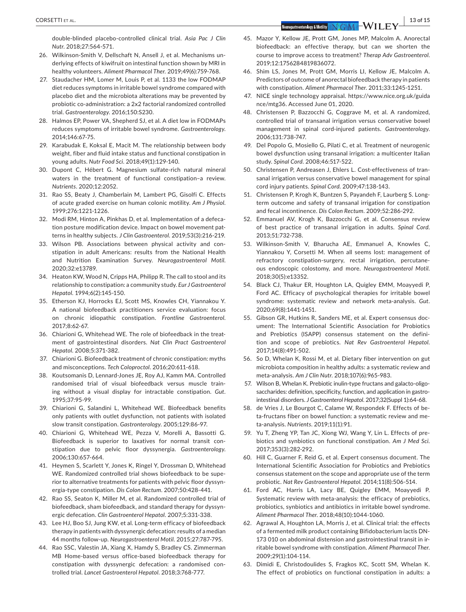double-blinded placebo-controlled clinical trial. *Asia Pac J Clin Nutr*. 2018;27:564-571.

- 26. Wilkinson-Smith V, Dellschaft N, Ansell J, et al. Mechanisms underlying effects of kiwifruit on intestinal function shown by MRI in healthy volunteers. *Aliment Pharmacol Ther*. 2019;49(6):759-768.
- 27. Staudacher HM, Lomer M, Louis P, et al. 1133 the low FODMAP diet reduces symptoms in irritable bowel syndrome compared with placebo diet and the microbiota alterations may be prevented by probiotic co-administration: a 2x2 factorial randomized controlled trial. *Gastroenterology*. 2016;150:S230.
- 28. Halmos EP, Power VA, Shepherd SJ, et al. A diet low in FODMAPs reduces symptoms of irritable bowel syndrome. *Gastroenterology*. 2014;146:67-75.
- 29. Karabudak E, Koksal E, Macit M. The relationship between body weight, fiber and fluid intake status and functional constipation in young adults. *Nutr Food Sci*. 2018;49(1):129-140.
- 30. Dupont C, Hébert G. Magnesium sulfate-rich natural mineral waters in the treatment of functional constipation–a review. *Nutrients*. 2020;12:2052.
- 31. Rao SS, Beaty J, Chamberlain M, Lambert PG, Gisolfi C. Effects of acute graded exercise on human colonic motility. *Am J Physiol*. 1999;276:1221-1226.
- 32. Modi RM, Hinton A, Pinkhas D, et al. Implementation of a defecation posture modification device. Impact on bowel movement patterns in healthy subjects. *J Clin Gastroenterol*. 2019;53(3):216-219.
- 33. Wilson PB. Associations between physical activity and constipation in adult Americans: results from the National Health and Nutrition Examination Survey. *Neurogastroenterol Motil*. 2020;32:e13789.
- 34. Heaton KW, Wood N, Cripps HA, Philipp R. The call to stool and its relationship to constipation: a community study. *Eur J Gastroenterol Hepatol*. 1994;6(2):145-150.
- 35. Etherson KJ, Horrocks EJ, Scott MS, Knowles CH, Yiannakou Y. A national biofeedback practitioners service evaluation: focus on chronic idiopathic constipation. *Frontline Gastroenterol*. 2017;8:62-67.
- 36. Chiarioni G, Whitehead WE. The role of biofeedback in the treatment of gastrointestinal disorders. *Nat Clin Pract Gastroenterol Hepatol*. 2008;5:371-382.
- 37. Chiarioni G. Biofeedback treatment of chronic constipation: myths and misconceptions. *Tech Coloproctol*. 2016;20:611-618.
- 38. Koutsomanis D, Lennard-Jones JE, Roy AJ, Kamm MA. Controlled randomised trial of visual biofeedback versus muscle training without a visual display for intractable constipation. *Gut*. 1995;37:95-99.
- 39. Chiarioni G, Salandini L, Whitehead WE. Biofeedback benefits only patients with outlet dysfunction, not patients with isolated slow transit constipation. *Gastronterology*. 2005;129:86-97.
- 40. Chiarioni G, Whitehead WE, Pezza V, Morelli A, Bassotti G. Biofeedback is superior to laxatives for normal transit constipation due to pelvic floor dyssynergia. *Gastroenterology*. 2006;130:657-664.
- 41. Heymen S, Scarlett Y, Jones K, Ringel Y, Drossman D, Whitehead WE. Randomized controlled trial shows biofeedback to be superior to alternative treatments for patients with pelvic floor dyssynergia-type constipation. *Dis Colon Rectum*. 2007;50:428-441.
- 42. Rao SS, Seaton K, Miller M, et al. Randomized controlled trial of biofeedback, sham biofeedback, and standard therapy for dyssynergic defecation. *Clin Gastroenterol Hepatol*. 2007;5:331-338.
- 43. Lee HJ, Boo SJ, Jung KW, et al. Long-term efficacy of biofeedback therapy in patients with dyssynergic defecation:results of a median 44 months follow-up. *Neurogastroenterol Motil*. 2015;27:787-795.
- 44. Rao SSC, Valestin JA, Xiang X, Hamdy S, Bradley CS. Zimmerman MB Home-based versus office-based biofeedback therapy for constipation with dyssynergic defecation: a randomised controlled trial. *Lancet Gastroenterol Hepatol*. 2018;3:768-777.
- 45. Mazor Y, Kellow JE, Prott GM, Jones MP, Malcolm A, Anorectal biofeedback: an effective therapy, but can we shorten the course to improve access to treatment? *Therap Adv Gastroenterol*. 2019;12:1756284819836072.
- 46. Shim LS, Jones M, Prott GM, Morris LI, Kellow JE, Malcolm A. Predictors of outcome of anorectal biofeedback therapy in patients with constipation. *Aliment Pharmacol Ther*. 2011;33:1245-1251.
- 47. NICE single technology appraisal. [https://www.nice.org.uk/guida](https://www.nice.org.uk/guidance/mtg36) [nce/mtg36](https://www.nice.org.uk/guidance/mtg36). Accessed June 01, 2020.
- 48. Christensen P, Bazzocchi G, Coggrave M, et al. A randomized, controlled trial of transanal irrigation versus conservative bowel management in spinal cord-injured patients. *Gastroenterology*. 2006;131:738-747.
- 49. Del Popolo G, Mosiello G, Pilati C, et al. Treatment of neurogenic bowel dysfunction using transanal irrigation: a multicenter Italian study. *Spinal Cord*. 2008;46:517-522.
- 50. Christensen P, Andreasen J, Ehlers L. Cost-effectiveness of transanal irrigation versus conservative bowel management for spinal cord injury patients. *Spinal Cord*. 2009;47:138-143.
- 51. Christensen P, Krogh K, Buntzen S, Payandeh F, Laurberg S. Longterm outcome and safety of transanal irrigation for constipation and fecal incontinence. *Dis Colon Rectum*. 2009;52:286-292.
- 52. Emmanuel AV, Krogh K, Bazzocchi G, et al. Consensus review of best practice of transanal irrigation in adults. *Spinal Cord*. 2013;51:732-738.
- 53. Wilkinson-Smith V, Bharucha AE, Emmanuel A, Knowles C, Yiannakou Y, Corsetti M. When all seems lost: management of refractory constipation-surgery, rectal irrigation, percutaneous endoscopic colostomy, and more. *Neurogastroenterol Motil*. 2018;30(5):e13352.
- 54. Black CJ, Thakur ER, Houghton LA, Quigley EMM, Moayyedi P, Ford AC. Efficacy of psychological therapies for irritable bowel syndrome: systematic review and network meta-analysis. *Gut*. 2020;69(8):1441-1451.
- 55. Gibson GR, Hutkins R, Sanders ME, et al. Expert consensus document: The International Scientific Association for Probiotics and Prebiotics (ISAPP) consensus statement on the definition and scope of prebiotics. *Nat Rev Gastroenterol Hepatol*. 2017;14(8):491-502.
- 56. So D, Whelan K, Rossi M, et al. Dietary fiber intervention on gut microbiota composition in healthy adults: a systematic review and meta-analysis. *Am J Clin Nutr*. 2018;107(6):965-983.
- 57. Wilson B, Whelan K. Prebiotic inulin-type fructans and galacto-oligosaccharides: definition, specificity, function, and application in gastrointestinal disorders. *J Gastroenterol Hepatol*. 2017;32(Suppl 1):64-68.
- 58. de Vries J, Le Bourgot C, Calame W, Respondek F. Effects of beta-fructans fiber on bowel function: a systematic review and meta-analysis. *Nutrients*. 2019;11(1):91.
- 59. Yu T, Zheng YP, Tan JC, Xiong WJ, Wang Y, Lin L. Effects of prebiotics and synbiotics on functional constipation. *Am J Med Sci*. 2017;353(3):282-292.
- 60. Hill C, Guarner F, Reid G, et al. Expert consensus document. The International Scientific Association for Probiotics and Prebiotics consensus statement on the scope and appropriate use of the term probiotic. *Nat Rev Gastroenterol Hepatol*. 2014;11(8):506-514.
- 61. Ford AC, Harris LA, Lacy BE, Quigley EMM, Moayyedi P. Systematic review with meta-analysis: the efficacy of prebiotics, probiotics, synbiotics and antibiotics in irritable bowel syndrome. *Aliment Pharmacol Ther*. 2018;48(10):1044-1060.
- 62. Agrawal A, Houghton LA, Morris J, et al. Clinical trial: the effects of a fermented milk product containing Bifidobacterium lactis DN-173 010 on abdominal distension and gastrointestinal transit in irritable bowel syndrome with constipation. *Aliment Pharmacol Ther*. 2009;29(1):104-114.
- 63. Dimidi E, Christodoulides S, Fragkos KC, Scott SM, Whelan K. The effect of probiotics on functional constipation in adults: a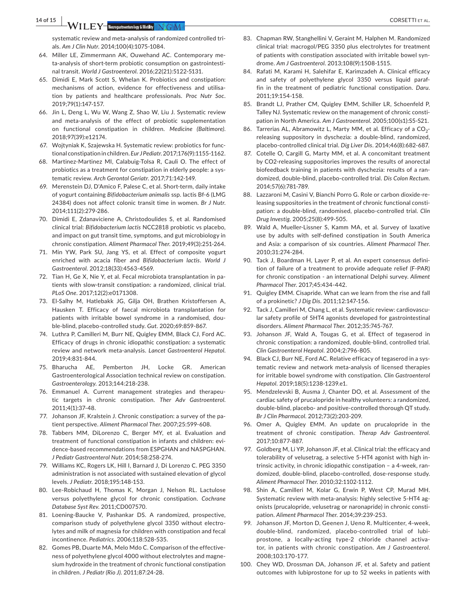**14 of 15 <sup>|</sup>**  CORSETTI et al.

systematic review and meta-analysis of randomized controlled trials. *Am J Clin Nutr*. 2014;100(4):1075-1084.

- 64. Miller LE, Zimmermann AK, Ouwehand AC. Contemporary meta-analysis of short-term probiotic consumption on gastrointestinal transit. *World J Gastroenterol*. 2016;22(21):5122-5131.
- 65. Dimidi E, Mark Scott S, Whelan K. Probiotics and constipation: mechanisms of action, evidence for effectiveness and utilisation by patients and healthcare professionals. *Proc Nutr Soc*. 2019;79(1):147-157.
- 66. Jin L, Deng L, Wu W, Wang Z, Shao W, Liu J. Systematic review and meta-analysis of the effect of probiotic supplementation on functional constipation in children. *Medicine (Baltimore)*. 2018;97(39):e12174.
- 67. Wojtyniak K, Szajewska H. Systematic review: probiotics for functional constipation in children. *Eur J Pediatr*.2017;176(9):1155-1162.
- 68. Martinez-Martinez MI, Calabuig-Tolsa R, Cauli O. The effect of probiotics as a treatment for constipation in elderly people: a systematic review. *Arch Gerontol Geriatr*. 2017;71:142-149.
- 69. Merenstein DJ, D'Amico F, Palese C, et al. Short-term, daily intake of yogurt containing *Bifidobacterium animalis* ssp. lactis Bf-6 (LMG 24384) does not affect colonic transit time in women. *Br J Nutr*. 2014;111(2):279-286.
- 70. Dimidi E, Zdanaviciene A, Christodoulides S, et al. Randomised clinical trial: *Bifidobacterium lactis* NCC2818 probiotic vs placebo, and impact on gut transit time, symptoms, and gut microbiology in chronic constipation. *Aliment Pharmacol Ther*. 2019;49(3):251-264.
- 71. Min YW, Park SU, Jang YS, et al. Effect of composite yogurt enriched with acacia fiber and *Bifidobacterium lactis*. *World J Gastroenterol*. 2012;18(33):4563-4569.
- 72. Tian H, Ge X, Nie Y, et al. Fecal microbiota transplantation in patients with slow-transit constipation: a randomized, clinical trial. *PLoS One*. 2017;12(2):e0171308.
- 73. El-Salhy M, Hatlebakk JG, Gilja OH, Brathen Kristoffersen A, Hausken T. Efficacy of faecal microbiota transplantation for patients with irritable bowel syndrome in a randomised, double-blind, placebo-controlled study. *Gut*. 2020;69:859-867.
- 74. Luthra P, Camilleri M, Burr NE, Quigley EMM, Black CJ, Ford AC. Efficacy of drugs in chronic idiopathic constipation: a systematic review and network meta-analysis. *Lancet Gastroenterol Hepatol*. 2019;4:831-844.
- 75. Bharucha AE, Pemberton JH, Locke GR. American Gastroenterological Association technical review on constipation. *Gastroenterology*. 2013;144:218-238.
- 76. Emmanuel A. Current management strategies and therapeutic targets in chronic constipation. *Ther Adv Gastroenterol*. 2011;4(1):37-48.
- 77. Johanson JF, Kralstein J. Chronic constipation: a survey of the patient perspective. *Aliment Pharmacol Ther*. 2007;25:599-608.
- 78. Tabbers MM, DiLorenzo C, Berger MY, et al. Evaluation and treatment of functional constipation in infants and children: evidence-based recommendations from ESPGHAN and NASPGHAN. *J Pediatr Gastroenterol Nutr*. 2014;58:258-274.
- 79. Williams KC, Rogers LK, Hill I, Barnard J, Di Lorenzo C. PEG 3350 administration is not associated with sustained elevation of glycol levels. *J Pediatr*. 2018;195:148-153.
- 80. Lee-Robichaud H, Thomas K, Morgan J, Nelson RL. Lactulose versus polyethylene glycol for chronic constipation. *Cochrane Database Syst Rev*. 2011;CD007570.
- 81. Loening-Baucke V, Pashankar DS. A randomized, prospective, comparison study of polyethylene glycol 3350 without electrolytes and milk of magnesia for children with constipation and fecal incontinence. *Pediatrics*. 2006;118:528-535.
- 82. Gomes PB, Duarte MA, Melo Mdo C. Comparison of the effectiveness of polyethylene glycol 4000 without electrolytes and magnesium hydroxide in the treatment of chronic functional constipation in children. *J Pediatr (Rio J)*. 2011;87:24-28.
- 83. Chapman RW, Stanghellini V, Geraint M, Halphen M. Randomized clinical trial: macrogol/PEG 3350 plus electrolytes for treatment of patients with constipation associated with irritable bowel syndrome. *Am J Gastroenterol*. 2013;108(9):1508-1515.
- 84. Rafati M, Karami H, Salehifar E, Karimzadeh A. Clinical efficacy and safety of polyethylene glycol 3350 versus liquid paraffin in the treatment of pediatric functional constipation. *Daru*. 2011;19:154-158.
- 85. Brandt LJ, Prather CM, Quigley EMM, Schiller LR, Schoenfeld P, Talley NJ. Systematic review on the management of chronic constipation in North America. *Am J Gastroenterol*. 2005;100(s1):S5-S21.
- 86. Tarrerias AL, Abramowitz L, Marty MM, et al. Efficacy of a  $CO<sub>2</sub>$ releasing suppository in dyschezia: a double-blind, randomized, placebo-controlled clinical trial. *Dig Liver Dis*. 2014;46(8):682-687.
- 87. Cotelle O, Cargill G, Marty MM, et al. A concomitant treatment by CO2-releasing suppositories improves the results of anorectal biofeedback training in patients with dyschezia: results of a randomized, double-blind, placebo-controlled trial. *Dis Colon Rectum*. 2014;57(6):781-789.
- 88. Lazzaroni M, Casini V, Bianchi Porro G. Role or carbon dioxide-releasing suppositories in the treatment of chronic functional constipation: a double-blind, randomised, placebo-controlled trial. *Clin Drug Investig*. 2005;25(8):499-505.
- 89. Wald A, Mueller-Lissner S, Kamm MA, et al. Survey of laxative use by adults with self-defined constipation in South America and Asia: a comparison of six countries. *Aliment Pharmacol Ther*. 2010;31:274-284.
- 90. Tack J, Boardman H, Layer P, et al. An expert consensus definition of failure of a treatment to provide adequate relief (F-PAR) for chronic constipation - an international Delphi survey. *Aliment Pharmacol Ther*. 2017;45:434-442.
- 91. Quigley EMM. Cisapride. What can we learn from the rise and fall of a prokinetic? *J Dig Dis*. 2011;12:147-156.
- 92. Tack J, Camilleri M, Chang L, et al. Systematic review: cardiovascular safety profile of 5HT4 agonists developed for gastrointestinal disorders. *Aliment Pharmacol Ther*. 2012;35:745-767.
- 93. Johanson JF, Wald A, Tougas G, et al. Effect of tegaserod in chronic constipation: a randomized, double-blind, controlled trial. *Clin Gastroenterol Hepatol*. 2004;2:796-805.
- 94. Black CJ, Burr NE, Ford AC. Relative efficacy of tegaserod in a systematic review and network meta-analysis of licensed therapies for irritable bowel syndrome with constipation. *Clin Gastroenterol Hepatol*. 2019;18(5):1238-1239.e1.
- 95. Mendzelevski B, Ausma J, Chanter DO, et al. Assessment of the cardiac safety of prucalopride in healthy volunteers: a randomized, double-blind, placebo- and positive-controlled thorough QT study. *Br J Clin Pharmacol*. 2012;73(2):203-209.
- 96. Omer A, Quigley EMM. An update on prucalopride in the treatment of chronic constipation. *Therap Adv Gastroenterol*. 2017;10:877-887.
- 97. Goldberg M, Li YP, Johanson JF, et al. Clinical trial: the efficacy and tolerability of velusetrag, a selective 5-HT4 agonist with high intrinsic activity, in chronic idiopathic constipation – a 4-week, randomized, double-blind, placebo-controlled, dose-response study. *Aliment Pharmacol Ther*. 2010;32:1102-1112.
- 98. Shin A, Camilleri M, Kolar G, Erwin P, West CP, Murad MH. Systematic review with meta-analysis: highly selective 5-HT4 agonists (prucalopride, velusetrag or naronapride) in chronic constipation. *Aliment Pharmacol Ther*. 2014;39:239-253.
- 99. Johanson JF, Morton D, Geenen J, Ueno R. Multicenter, 4-week, double-blind, randomized, placebo-controlled trial of lubiprostone, a locally-acting type-2 chloride channel activator, in patients with chronic constipation. *Am J Gastroenterol*. 2008;103:170-177.
- 100. Chey WD, Drossman DA, Johanson JF, et al. Safety and patient outcomes with lubiprostone for up to 52 weeks in patients with